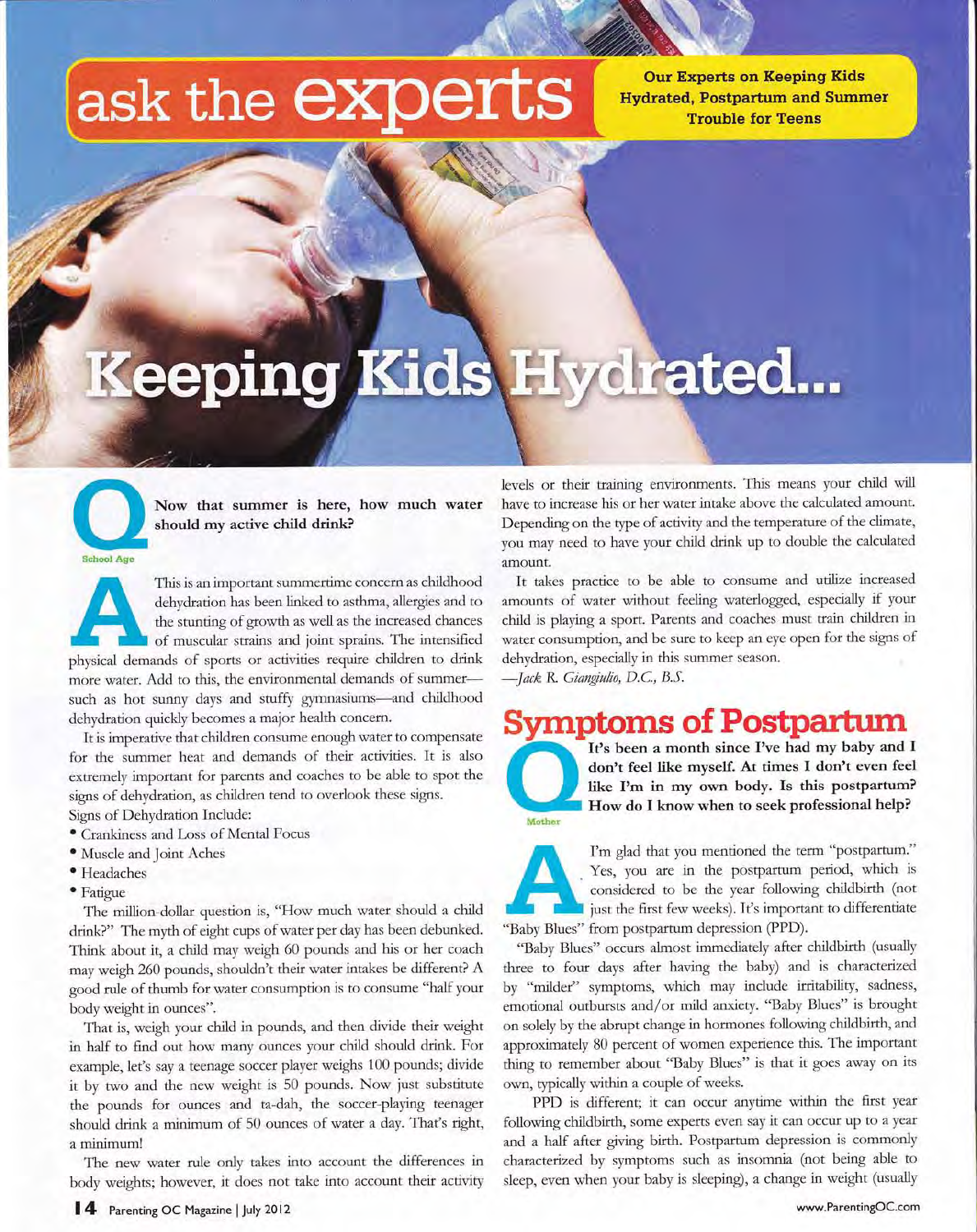## ask the **experts**

**Our Experts on Keeping Kids Hydrated, Postpartum and Summer Trouble for Teens** 

# Keeping Kids Hydrated...

**School Age** 

Now that summer is here, how much water should my active child drink?

This is an important summertime concern as childhood dehydration has been linked to asthma, allergies and to the stunting of growth as well as the increased chances of muscular strains and joint sprains. The intensified physical demands of sports or activities require children to drink more water. Add to this, the environmental demands of summersuch as hot sunny days and stuffy gymnasiums-and childhood dehydration quickly becomes a major health concern.

It is imperative that children consume enough water to compensate for the summer heat and demands of their activities. It is also extremely important for parents and coaches to be able to spot the signs of dehydration, as children tend to overlook these signs. Signs of Dehydration Include:

- Crankiness and Loss of Mental Focus
- · Muscle and Joint Aches
- · Headaches
- · Fatigue

The million-dollar question is, "How much water should a child drink?" The myth of eight cups of water per day has been debunked. Think about it, a child may weigh 60 pounds and his or her coach may weigh 260 pounds, shouldn't their water intakes be different? A good rule of thumb for water consumption is to consume "half your body weight in ounces".

That is, weigh your child in pounds, and then divide their weight in half to find out how many ounces your child should drink. For example, let's say a teenage soccer player weighs 100 pounds; divide it by two and the new weight is 50 pounds. Now just substitute the pounds for ounces and ta-dah, the soccer-playing teenager should drink a minimum of 50 ounces of water a day. That's right, a minimum!

The new water rule only takes into account the differences in body weights; however, it does not take into account their activity

levels or their training environments. This means your child will have to increase his or her water intake above the calculated amount. Depending on the type of activity and the temperature of the climate, you may need to have your child drink up to double the calculated amount.

It takes practice to be able to consume and utilize increased amounts of water without feeling waterlogged, especially if your child is playing a sport. Parents and coaches must train children in water consumption, and be sure to keep an eye open for the signs of dehydration, especially in this summer season.

-Jack R. Giangiulio, D.C., B.S.

#### **Symptoms of Postpartum**



It's been a month since I've had my baby and I don't feel like myself. At times I don't even feel like I'm in my own body. Is this postpartum? How do I know when to seek professional help?



I'm glad that you mentioned the term "postpartum." Yes, you are in the postpartum period, which is considered to be the year following childbirth (not iust the first few weeks). It's important to differentiate "Baby Blues" from postpartum depression (PPD).

"Baby Blues" occurs almost immediately after childbirth (usually three to four days after having the baby) and is characterized by "milder" symptoms, which may include irritability, sadness, emotional outbursts and/or mild anxiety. "Baby Blues" is brought on solely by the abrupt change in hormones following childbirth, and approximately 80 percent of women experience this. The important thing to remember about "Baby Blues" is that it goes away on its own, typically within a couple of weeks.

PPD is different; it can occur anytime within the first year following childbirth, some experts even say it can occur up to a year and a half after giving birth. Postpartum depression is commonly characterized by symptoms such as insomnia (not being able to sleep, even when your baby is sleeping), a change in weight (usually